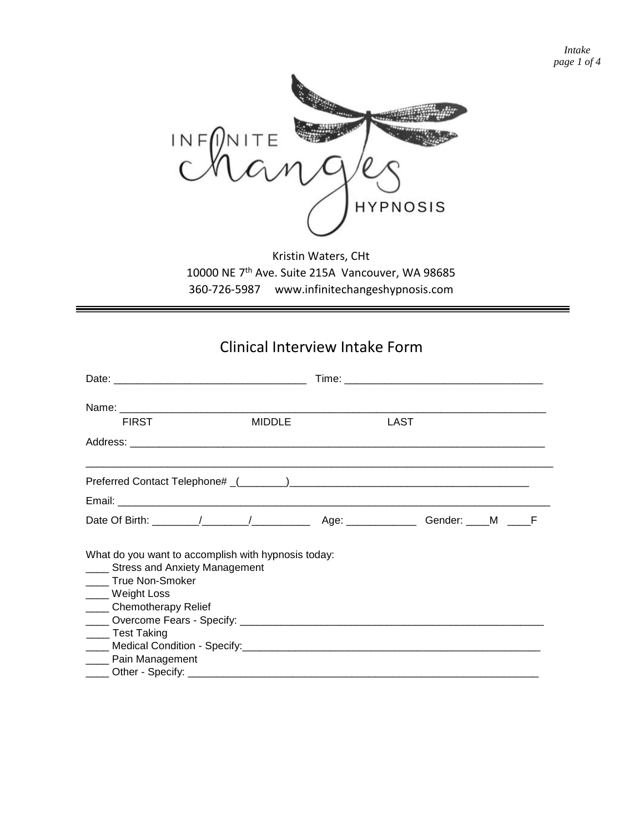*Intake page 1 of 4*



Kristin Waters, CHt 10000 NE 7th Ave. Suite 215A Vancouver, WA 98685 360-726-5987 www.infinitechangeshypnosis.com

## Clinical Interview Intake Form

| <b>FIRST</b>                                                                                                                                                                            | <b>MIDDLE</b> | LAST |  |  |
|-----------------------------------------------------------------------------------------------------------------------------------------------------------------------------------------|---------------|------|--|--|
|                                                                                                                                                                                         |               |      |  |  |
|                                                                                                                                                                                         |               |      |  |  |
|                                                                                                                                                                                         |               |      |  |  |
|                                                                                                                                                                                         |               |      |  |  |
| What do you want to accomplish with hypnosis today:<br>____ Stress and Anxiety Management<br>_____ True Non-Smoker<br>____ Weight Loss<br>____ Chemotherapy Relief<br>_____ Test Taking |               |      |  |  |
| ____ Pain Management                                                                                                                                                                    |               |      |  |  |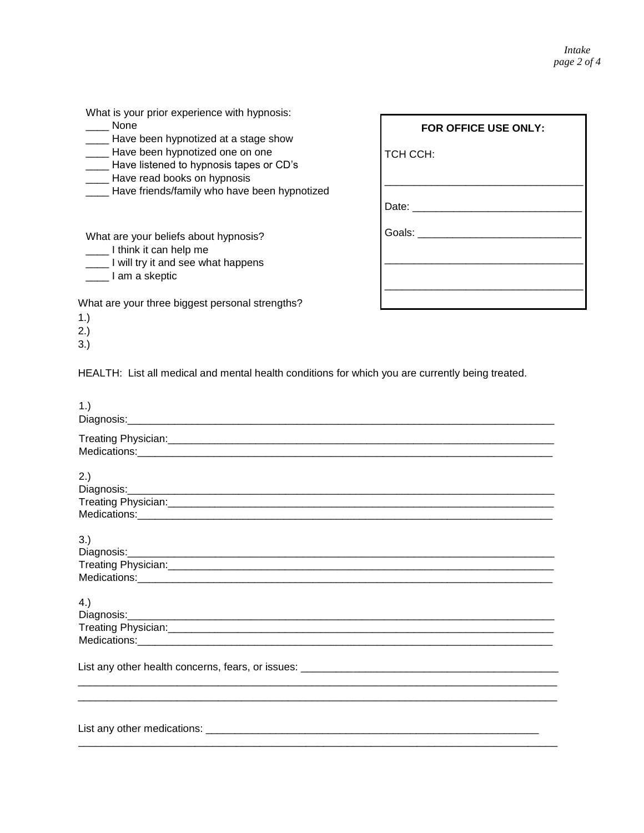| What is your prior experience with hypnosis:<br>None<br>Have been hypnotized at a stage show                                 | FOR OFFICE USE ONLY: |
|------------------------------------------------------------------------------------------------------------------------------|----------------------|
| Have been hypnotized one on one<br>Have listened to hypnosis tapes or CD's<br>Have read books on hypnosis                    | TCH CCH:             |
| Have friends/family who have been hypnotized                                                                                 | Date:                |
| What are your beliefs about hypnosis?<br>I think it can help me<br>____ I will try it and see what happens<br>I am a skeptic | Goals:               |
| What are your three biggest personal strengths?<br>1.)<br>2.)                                                                |                      |

HEALTH: List all medical and mental health conditions for which you are currently being treated.

3.)

| 1.) |
|-----|
|     |
| 2.) |
| 3.) |
| 4.) |
|     |
|     |
|     |
|     |
|     |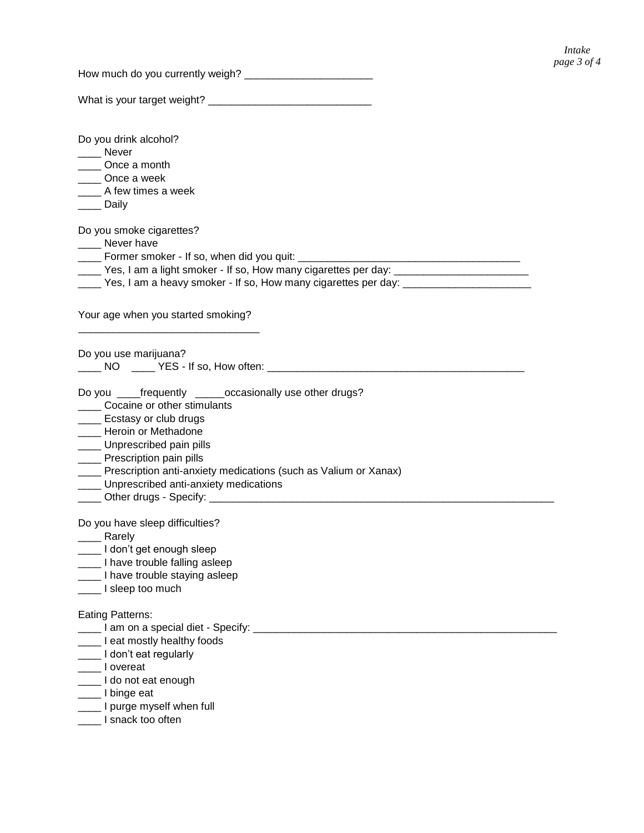How much do you currently weigh? \_\_\_\_\_\_\_\_\_\_\_\_\_\_\_\_\_\_\_\_\_\_

What is your target weight? \_\_\_\_\_\_\_\_\_\_\_\_\_\_\_\_\_\_\_\_\_\_\_\_\_\_\_\_

Do you drink alcohol? \_\_\_\_ Never \_\_\_\_ Once a month \_\_\_\_ Once a week \_\_\_\_ A few times a week \_\_\_\_ Daily Do you smoke cigarettes? \_\_\_\_ Never have \_\_\_\_ Former smoker - If so, when did you quit: \_\_\_\_\_\_\_\_\_\_\_\_\_\_\_\_\_\_\_\_\_\_\_\_\_\_\_\_\_\_\_\_\_\_\_\_\_\_ \_\_\_\_ Yes, I am a light smoker - If so, How many cigarettes per day: \_\_\_\_\_\_\_\_\_\_\_\_\_\_\_\_\_\_\_\_\_\_\_ \_\_\_\_ Yes, I am a heavy smoker - If so, How many cigarettes per day: \_\_\_\_\_\_\_\_\_\_\_\_\_\_\_\_\_\_\_\_\_\_ Your age when you started smoking? \_\_\_\_\_\_\_\_\_\_\_\_\_\_\_\_\_\_\_\_\_\_\_\_\_\_\_\_\_\_\_ Do you use marijuana? \_\_\_\_ NO \_\_\_\_ YES - If so, How often: \_\_\_\_\_\_\_\_\_\_\_\_\_\_\_\_\_\_\_\_\_\_\_\_\_\_\_\_\_\_\_\_\_\_\_\_\_\_\_\_\_\_\_\_ Do you \_\_\_\_frequently \_\_\_\_\_occasionally use other drugs? **\_\_\_\_\_** Cocaine or other stimulants Ecstasy or club drugs **\_\_\_\_\_** Heroin or Methadone \_\_\_\_ Unprescribed pain pills **\_\_\_\_** Prescription pain pills **\_\_\_\_** Prescription anti-anxiety medications (such as Valium or Xanax) **LEGGG** Unprescribed anti-anxiety medications \_\_\_\_ Other drugs - Specify: \_\_\_\_\_\_\_\_\_\_\_\_\_\_\_\_\_\_\_\_\_\_\_\_\_\_\_\_\_\_\_\_\_\_\_\_\_\_\_\_\_\_\_\_\_\_\_\_\_\_\_\_\_\_\_\_\_\_\_ Do you have sleep difficulties? \_\_\_\_ Rarely \_\_\_\_ I don't get enough sleep \_\_\_\_ I have trouble falling asleep **\_\_\_\_** I have trouble staying asleep \_\_\_\_ I sleep too much Eating Patterns: **The Section of a special diet - Specify:** <u>The Communican Communication</u> **\_\_\_\_\_** I eat mostly healthy foods Letter Contract regularly

- \_\_\_\_ I overeat
- \_\_\_\_ I do not eat enough
- \_\_\_\_ I binge eat
- \_\_\_\_ I purge myself when full
- \_\_\_\_ I snack too often